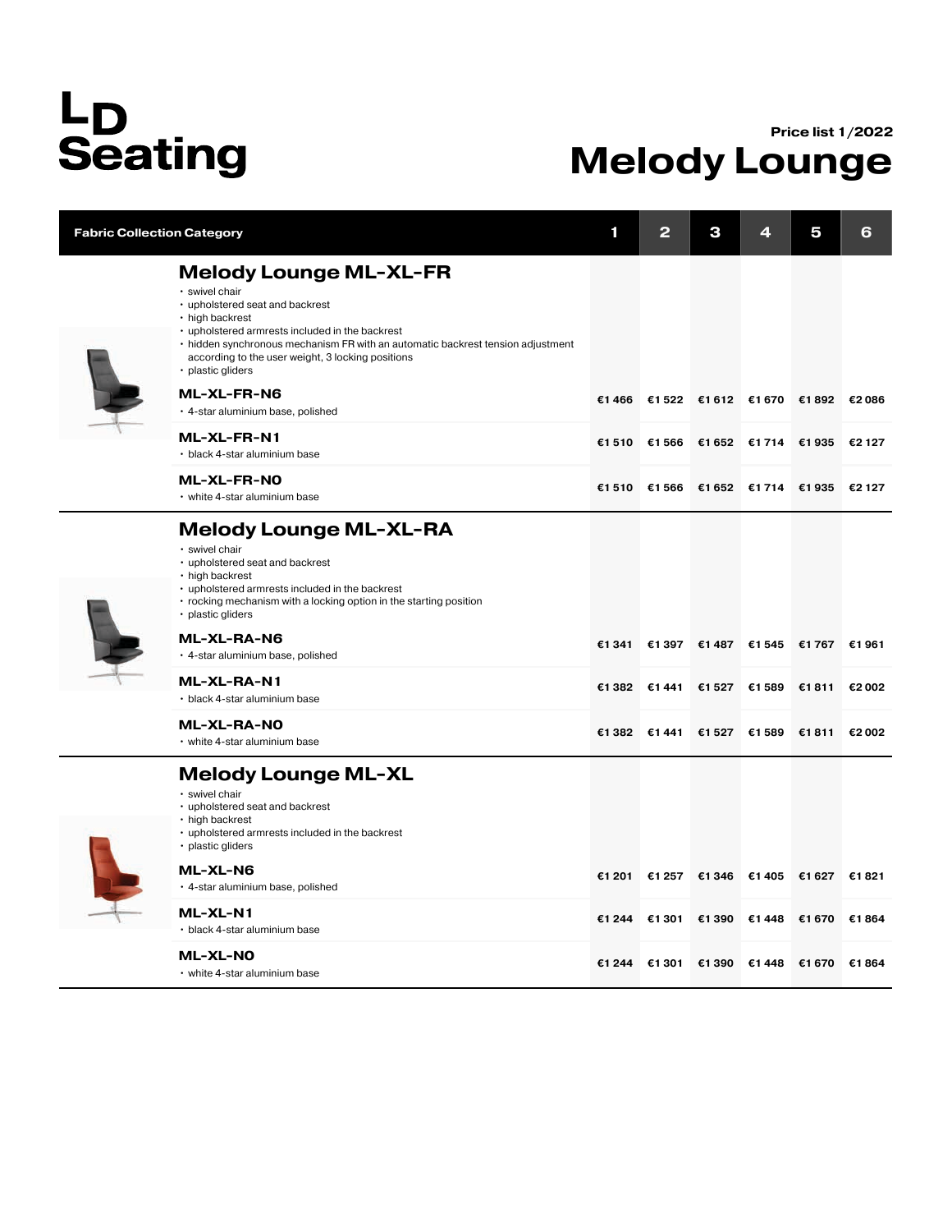## L<sub>D</sub><br>Seating

## Price list 1/2022 Melody Lounge

| <b>Fabric Collection Category</b> |                                                                                                                                                                                                                                                                                                                       | 1      | 2             | З                                   | ◢     | 5      | 6      |
|-----------------------------------|-----------------------------------------------------------------------------------------------------------------------------------------------------------------------------------------------------------------------------------------------------------------------------------------------------------------------|--------|---------------|-------------------------------------|-------|--------|--------|
|                                   | <b>Melody Lounge ML-XL-FR</b><br>· swivel chair<br>• upholstered seat and backrest<br>• high backrest<br>• upholstered armrests included in the backrest<br>• hidden synchronous mechanism FR with an automatic backrest tension adjustment<br>according to the user weight, 3 locking positions<br>· plastic gliders |        |               |                                     |       |        |        |
|                                   | <b>ML-XL-FR-N6</b><br>· 4-star aluminium base, polished                                                                                                                                                                                                                                                               |        |               | €1466 €1522 €1612 €1670 €1892 €2086 |       |        |        |
|                                   | ML-XL-FR-N1<br>· black 4-star aluminium base                                                                                                                                                                                                                                                                          | €1510  | €1 566        | €1652 €1714 €1935                   |       |        | €2 127 |
|                                   | ML-XL-FR-NO<br>• white 4-star aluminium base                                                                                                                                                                                                                                                                          |        |               | €1510 €1566 €1652 €1714 €1935       |       |        | €2 127 |
|                                   | <b>Melody Lounge ML-XL-RA</b><br>· swivel chair<br>• upholstered seat and backrest<br>· high backrest<br>• upholstered armrests included in the backrest<br>• rocking mechanism with a locking option in the starting position<br>· plastic gliders                                                                   |        |               |                                     |       |        |        |
|                                   | ML-XL-RA-N6<br>· 4-star aluminium base, polished                                                                                                                                                                                                                                                                      | €1 341 |               | €1 397 €1 487 €1 545 €1 767 €1 961  |       |        |        |
|                                   | ML-XL-RA-N1<br>• black 4-star aluminium base                                                                                                                                                                                                                                                                          |        |               | €1382 €1441 €1527 €1589             |       | €1811  | €2 002 |
|                                   | <b>ML-XL-RA-NO</b><br>• white 4-star aluminium base                                                                                                                                                                                                                                                                   |        | €1 382 €1 441 | €1527 €1589                         |       | €1811  | €2 002 |
|                                   | <b>Melody Lounge ML-XL</b><br>· swivel chair<br>• upholstered seat and backrest<br>• high backrest<br>• upholstered armrests included in the backrest<br>• plastic gliders                                                                                                                                            |        |               |                                     |       |        |        |
|                                   | ML-XL-N6<br>· 4-star aluminium base, polished                                                                                                                                                                                                                                                                         | €1 201 |               | €1257 €1346 €1405                   |       | €1 627 | €1821  |
|                                   | <b>ML-XL-N1</b><br>• black 4-star aluminium base                                                                                                                                                                                                                                                                      | €1 244 | €1 301        | €1 390                              | €1448 | €1 670 | €1864  |
|                                   | <b>ML-XL-NO</b><br>• white 4-star aluminium base                                                                                                                                                                                                                                                                      |        |               | €1 244 €1 301 €1 390 €1 448         |       | €1 670 | €1864  |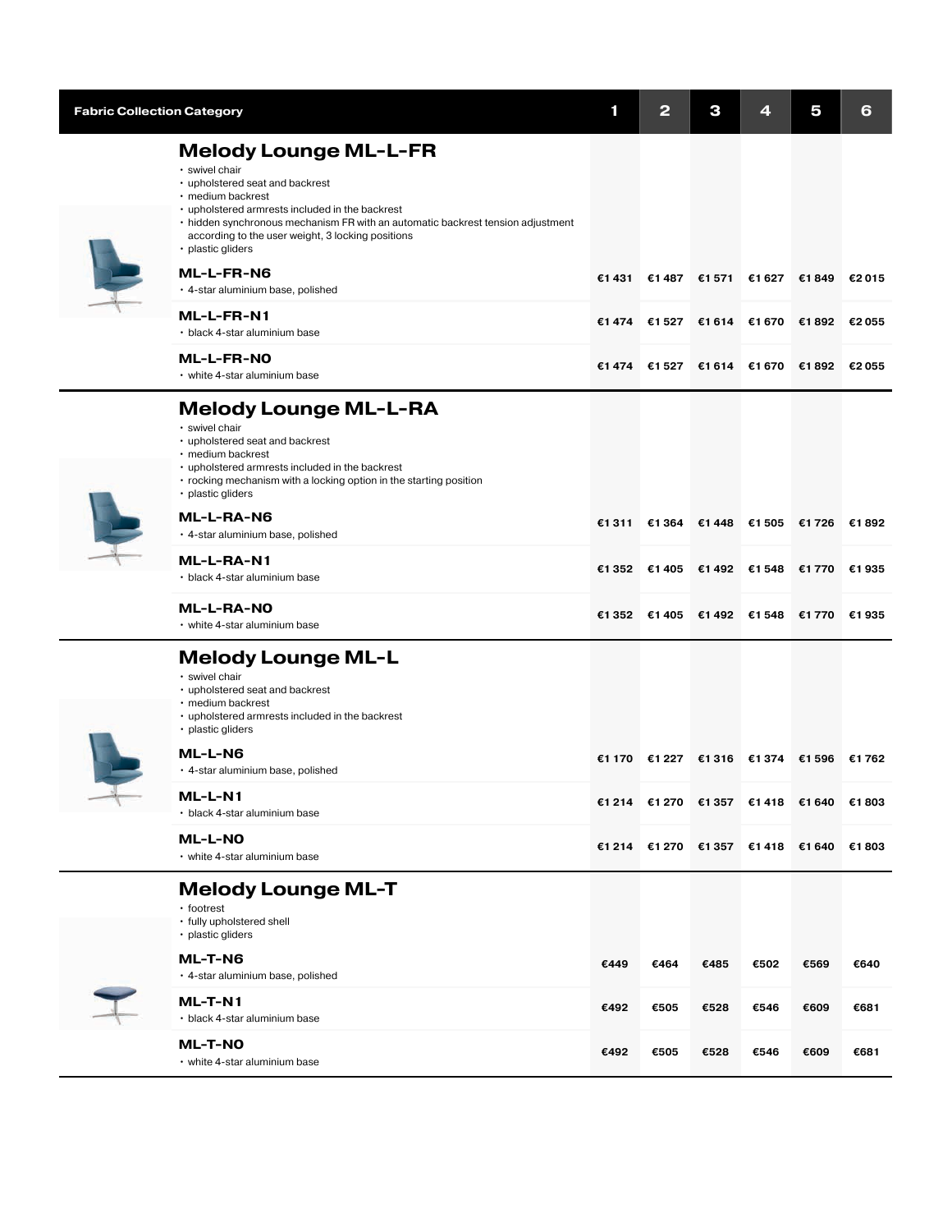| <b>Fabric Collection Category</b> |                                                                                                                                                                                                                                                                                                                        | 1      | 2                                         | З    | 4    | 5     | 6      |
|-----------------------------------|------------------------------------------------------------------------------------------------------------------------------------------------------------------------------------------------------------------------------------------------------------------------------------------------------------------------|--------|-------------------------------------------|------|------|-------|--------|
|                                   | <b>Melody Lounge ML-L-FR</b><br>· swivel chair<br>• upholstered seat and backrest<br>· medium backrest<br>• upholstered armrests included in the backrest<br>• hidden synchronous mechanism FR with an automatic backrest tension adjustment<br>according to the user weight, 3 locking positions<br>· plastic gliders |        |                                           |      |      |       |        |
|                                   | <b>ML-L-FR-N6</b><br>· 4-star aluminium base, polished                                                                                                                                                                                                                                                                 |        | €1 431 €1 487 €1 571 €1 627               |      |      | €1849 | €2 015 |
|                                   | ML-L-FR-N1<br>• black 4-star aluminium base                                                                                                                                                                                                                                                                            | €1 474 | €1527 €1614 €1670 €1892                   |      |      |       | €2 055 |
|                                   | <b>ML-L-FR-NO</b><br>• white 4-star aluminium base                                                                                                                                                                                                                                                                     |        | €1474 €1527 €1614 €1670 €1892 €2055       |      |      |       |        |
|                                   | <b>Melody Lounge ML-L-RA</b><br>· swivel chair<br>• upholstered seat and backrest<br>· medium backrest<br>• upholstered armrests included in the backrest<br>• rocking mechanism with a locking option in the starting position<br>· plastic gliders                                                                   |        |                                           |      |      |       |        |
|                                   | ML-L-RA-N6<br>· 4-star aluminium base, polished                                                                                                                                                                                                                                                                        |        | €1311 €1364 €1448 €1505 €1726 €1892       |      |      |       |        |
|                                   | ML-L-RA-N1<br>• black 4-star aluminium base                                                                                                                                                                                                                                                                            |        | €1 352 €1 405 €1 492 €1 548 €1 770        |      |      |       | €1 935 |
|                                   | <b>ML-L-RA-NO</b><br>• white 4-star aluminium base                                                                                                                                                                                                                                                                     |        | €1 352 €1 405 €1 492 €1 548 €1 770 €1 935 |      |      |       |        |
|                                   | <b>Melody Lounge ML-L</b><br>· swivel chair<br>• upholstered seat and backrest<br>· medium backrest<br>• upholstered armrests included in the backrest<br>· plastic gliders<br>ML-L-N6                                                                                                                                 |        |                                           |      |      |       |        |
|                                   | · 4-star aluminium base, polished                                                                                                                                                                                                                                                                                      |        | €1 170 €1 227 €1 316 €1 374 €1 596 €1 762 |      |      |       |        |
|                                   | ML-L-N1<br>• black 4-star aluminium base                                                                                                                                                                                                                                                                               |        | €1214 €1270 €1357 €1418 €1640             |      |      |       | €1803  |
|                                   | ML-L-NO<br>• white 4-star aluminium base                                                                                                                                                                                                                                                                               |        | €1 214 €1 270 €1 357 €1 418 €1 640        |      |      |       | €1803  |
|                                   | <b>Melody Lounge ML-T</b><br>· footrest<br>• fully upholstered shell<br>· plastic gliders<br>ML-T-N6                                                                                                                                                                                                                   | €449   | €464                                      | €485 | €502 | €569  | €640   |
|                                   | · 4-star aluminium base, polished<br>ML-T-N1                                                                                                                                                                                                                                                                           |        |                                           |      |      |       |        |
|                                   | • black 4-star aluminium base                                                                                                                                                                                                                                                                                          | €492   | €505                                      | €528 | €546 | €609  | €681   |
|                                   | <b>ML-T-NO</b><br>• white 4-star aluminium base                                                                                                                                                                                                                                                                        | €492   | €505                                      | €528 | €546 | €609  | €681   |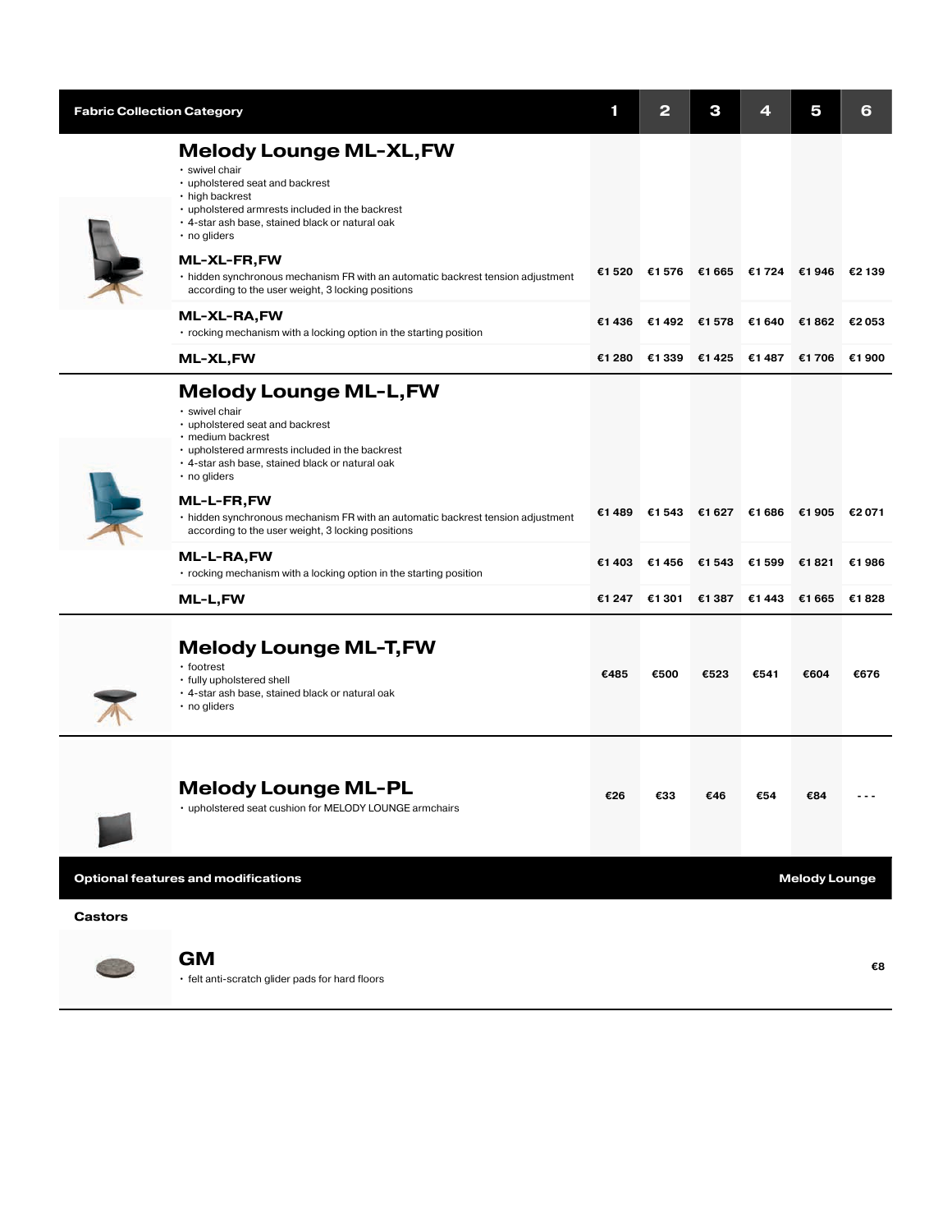| <b>Fabric Collection Category</b> |                                                                                                                                                                                                                                    | 1      | 2      | з     |        | 5      | 6      |
|-----------------------------------|------------------------------------------------------------------------------------------------------------------------------------------------------------------------------------------------------------------------------------|--------|--------|-------|--------|--------|--------|
|                                   | <b>Melody Lounge ML-XL, FW</b><br>· swivel chair<br>• upholstered seat and backrest<br>• high backrest<br>• upholstered armrests included in the backrest<br>. 4-star ash base, stained black or natural oak<br>$\cdot$ no gliders |        |        |       |        |        |        |
|                                   | ML-XL-FR,FW<br>• hidden synchronous mechanism FR with an automatic backrest tension adjustment<br>according to the user weight, 3 locking positions                                                                                | €1 520 | €1576  | €1665 | €1724  | €1946  | €2 139 |
|                                   | ML-XL-RA,FW<br>• rocking mechanism with a locking option in the starting position                                                                                                                                                  | €1436  | €1492  | €1578 | €1 640 | €1862  | €2053  |
|                                   | ML-XL,FW                                                                                                                                                                                                                           | €1 280 | €1 339 | €1425 | €1487  | €1706  | €1900  |
|                                   | <b>Melody Lounge ML-L, FW</b><br>· swivel chair<br>• upholstered seat and backrest<br>· medium backrest<br>• upholstered armrests included in the backrest<br>. 4-star ash base, stained black or natural oak<br>· no gliders      |        |        |       |        |        |        |
|                                   | ML-L-FR,FW<br>• hidden synchronous mechanism FR with an automatic backrest tension adjustment<br>according to the user weight, 3 locking positions                                                                                 | €1489  | €1 543 | €1627 | €1 686 | €1 905 | €2 071 |
|                                   | ML-L-RA,FW<br>• rocking mechanism with a locking option in the starting position                                                                                                                                                   | €1 403 | €1456  | €1543 | €1599  | €1821  | €1986  |
|                                   | ML-L,FW                                                                                                                                                                                                                            | €1 247 | €1 301 | €1387 | €1 443 | €1 665 | €1828  |
|                                   | <b>Melody Lounge ML-T, FW</b><br>• footrest<br>• fully upholstered shell<br>· 4-star ash base, stained black or natural oak<br>• no gliders                                                                                        | €485   | €500   | €523  | €541   | €604   | €676   |
|                                   | <b>Melody Lounge ML-PL</b><br>• upholstered seat cushion for MELODY LOUNGE armchairs                                                                                                                                               | €26    | €33    | €46   | €54    | €84    |        |

Optional features and modifications and modifications and mechanical control of the state of the Melody Lounge

## Castors

Ē.



 $\mathbf{G}\mathbf{M}$  and  $\mathbf{G}\mathbf{M}$  and  $\mathbf{G}\mathbf{M}$  and  $\mathbf{G}\mathbf{M}$  and  $\mathbf{G}\mathbf{M}$  and  $\mathbf{G}\mathbf{M}$  and  $\mathbf{G}\mathbf{M}$  and  $\mathbf{G}\mathbf{M}$  and  $\mathbf{G}\mathbf{M}$  and  $\mathbf{G}\mathbf{M}$  and  $\mathbf{G}\mathbf{M}$  and  $\mathbf{G}\mathbf{M}$  and  $\mathbf{$ 

• felt anti-scratch glider pads for hard floors